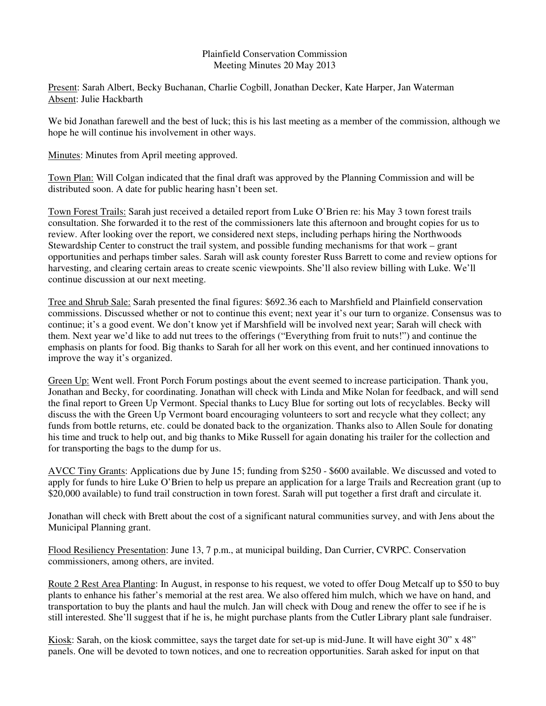## Plainfield Conservation Commission Meeting Minutes 20 May 2013

Present: Sarah Albert, Becky Buchanan, Charlie Cogbill, Jonathan Decker, Kate Harper, Jan Waterman Absent: Julie Hackbarth

We bid Jonathan farewell and the best of luck; this is his last meeting as a member of the commission, although we hope he will continue his involvement in other ways.

Minutes: Minutes from April meeting approved.

Town Plan: Will Colgan indicated that the final draft was approved by the Planning Commission and will be distributed soon. A date for public hearing hasn't been set.

Town Forest Trails: Sarah just received a detailed report from Luke O'Brien re: his May 3 town forest trails consultation. She forwarded it to the rest of the commissioners late this afternoon and brought copies for us to review. After looking over the report, we considered next steps, including perhaps hiring the Northwoods Stewardship Center to construct the trail system, and possible funding mechanisms for that work – grant opportunities and perhaps timber sales. Sarah will ask county forester Russ Barrett to come and review options for harvesting, and clearing certain areas to create scenic viewpoints. She'll also review billing with Luke. We'll continue discussion at our next meeting.

Tree and Shrub Sale: Sarah presented the final figures: \$692.36 each to Marshfield and Plainfield conservation commissions. Discussed whether or not to continue this event; next year it's our turn to organize. Consensus was to continue; it's a good event. We don't know yet if Marshfield will be involved next year; Sarah will check with them. Next year we'd like to add nut trees to the offerings ("Everything from fruit to nuts!") and continue the emphasis on plants for food. Big thanks to Sarah for all her work on this event, and her continued innovations to improve the way it's organized.

Green Up: Went well. Front Porch Forum postings about the event seemed to increase participation. Thank you, Jonathan and Becky, for coordinating. Jonathan will check with Linda and Mike Nolan for feedback, and will send the final report to Green Up Vermont. Special thanks to Lucy Blue for sorting out lots of recyclables. Becky will discuss the with the Green Up Vermont board encouraging volunteers to sort and recycle what they collect; any funds from bottle returns, etc. could be donated back to the organization. Thanks also to Allen Soule for donating his time and truck to help out, and big thanks to Mike Russell for again donating his trailer for the collection and for transporting the bags to the dump for us.

AVCC Tiny Grants: Applications due by June 15; funding from \$250 - \$600 available. We discussed and voted to apply for funds to hire Luke O'Brien to help us prepare an application for a large Trails and Recreation grant (up to \$20,000 available) to fund trail construction in town forest. Sarah will put together a first draft and circulate it.

Jonathan will check with Brett about the cost of a significant natural communities survey, and with Jens about the Municipal Planning grant.

Flood Resiliency Presentation: June 13, 7 p.m., at municipal building, Dan Currier, CVRPC. Conservation commissioners, among others, are invited.

Route 2 Rest Area Planting: In August, in response to his request, we voted to offer Doug Metcalf up to \$50 to buy plants to enhance his father's memorial at the rest area. We also offered him mulch, which we have on hand, and transportation to buy the plants and haul the mulch. Jan will check with Doug and renew the offer to see if he is still interested. She'll suggest that if he is, he might purchase plants from the Cutler Library plant sale fundraiser.

Kiosk: Sarah, on the kiosk committee, says the target date for set-up is mid-June. It will have eight 30" x 48" panels. One will be devoted to town notices, and one to recreation opportunities. Sarah asked for input on that